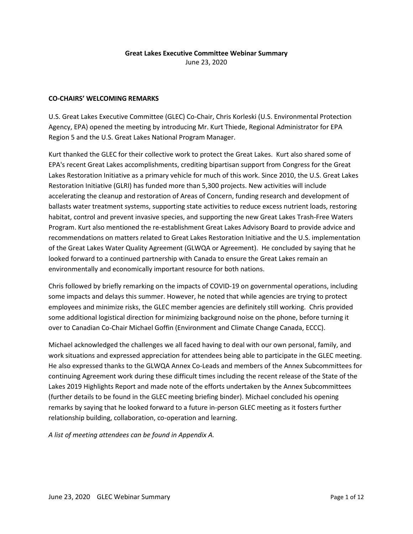## **Great Lakes Executive Committee Webinar Summary** June 23, 2020

**CO-CHAIRS' WELCOMING REMARKS**

U.S. Great Lakes Executive Committee (GLEC) Co-Chair, Chris Korleski (U.S. Environmental Protection Agency, EPA) opened the meeting by introducing Mr. Kurt Thiede, Regional Administrator for EPA Region 5 and the U.S. Great Lakes National Program Manager.

Kurt thanked the GLEC for their collective work to protect the Great Lakes. Kurt also shared some of EPA's recent Great Lakes accomplishments, crediting bipartisan support from Congress for the Great Lakes Restoration Initiative as a primary vehicle for much of this work. Since 2010, the U.S. Great Lakes Restoration Initiative (GLRI) has funded more than 5,300 projects. New activities will include accelerating the cleanup and restoration of Areas of Concern, funding research and development of ballasts water treatment systems, supporting state activities to reduce excess nutrient loads, restoring habitat, control and prevent invasive species, and supporting the new Great Lakes Trash-Free Waters Program. Kurt also mentioned the re-establishment Great Lakes Advisory Board to provide advice and recommendations on matters related to Great Lakes Restoration Initiative and the U.S. implementation of the Great Lakes Water Quality Agreement (GLWQA or Agreement). He concluded by saying that he looked forward to a continued partnership with Canada to ensure the Great Lakes remain an environmentally and economically important resource for both nations.

Chris followed by briefly remarking on the impacts of COVID-19 on governmental operations, including some impacts and delays this summer. However, he noted that while agencies are trying to protect employees and minimize risks, the GLEC member agencies are definitely still working. Chris provided some additional logistical direction for minimizing background noise on the phone, before turning it over to Canadian Co-Chair Michael Goffin (Environment and Climate Change Canada, ECCC).

Michael acknowledged the challenges we all faced having to deal with our own personal, family, and work situations and expressed appreciation for attendees being able to participate in the GLEC meeting. He also expressed thanks to the GLWQA Annex Co-Leads and members of the Annex Subcommittees for continuing Agreement work during these difficult times including the recent release of the State of the Lakes 2019 Highlights Report and made note of the efforts undertaken by the Annex Subcommittees (further details to be found in the GLEC meeting briefing binder). Michael concluded his opening remarks by saying that he looked forward to a future in-person GLEC meeting as it fosters further relationship building, collaboration, co-operation and learning.

*A list of meeting attendees can be found in Appendix A.*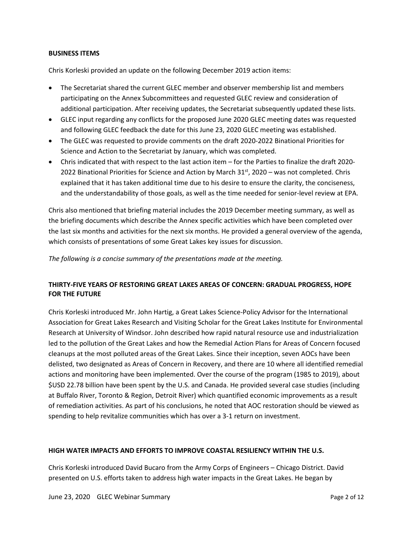#### **BUSINESS ITEMS**

Chris Korleski provided an update on the following December 2019 action items:

- The Secretariat shared the current GLEC member and observer membership list and members participating on the Annex Subcommittees and requested GLEC review and consideration of additional participation. After receiving updates, the Secretariat subsequently updated these lists.
- GLEC input regarding any conflicts for the proposed June 2020 GLEC meeting dates was requested and following GLEC feedback the date for this June 23, 2020 GLEC meeting was established.
- The GLEC was requested to provide comments on the draft 2020-2022 Binational Priorities for Science and Action to the Secretariat by January, which was completed.
- Chris indicated that with respect to the last action item for the Parties to finalize the draft 2020- 2022 Binational Priorities for Science and Action by March  $31<sup>st</sup>$ , 2020 – was not completed. Chris explained that it has taken additional time due to his desire to ensure the clarity, the conciseness, and the understandability of those goals, as well as the time needed for senior-level review at EPA.

Chris also mentioned that briefing material includes the 2019 December meeting summary, as well as the briefing documents which describe the Annex specific activities which have been completed over the last six months and activities for the next six months. He provided a general overview of the agenda, which consists of presentations of some Great Lakes key issues for discussion.

*The following is a concise summary of the presentations made at the meeting.* 

# **THIRTY-FIVE YEARS OF RESTORING GREAT LAKES AREAS OF CONCERN: GRADUAL PROGRESS, HOPE FOR THE FUTURE**

Chris Korleski introduced Mr. John Hartig, a Great Lakes Science-Policy Advisor for the International Association for Great Lakes Research and Visiting Scholar for the Great Lakes Institute for Environmental Research at University of Windsor. John described how rapid natural resource use and industrialization led to the pollution of the Great Lakes and how the Remedial Action Plans for Areas of Concern focused cleanups at the most polluted areas of the Great Lakes. Since their inception, seven AOCs have been delisted, two designated as Areas of Concern in Recovery, and there are 10 where all identified remedial actions and monitoring have been implemented. Over the course of the program (1985 to 2019), about \$USD 22.78 billion have been spent by the U.S. and Canada. He provided several case studies (including at Buffalo River, Toronto & Region, Detroit River) which quantified economic improvements as a result of remediation activities. As part of his conclusions, he noted that AOC restoration should be viewed as spending to help revitalize communities which has over a 3-1 return on investment.

## **HIGH WATER IMPACTS AND EFFORTS TO IMPROVE COASTAL RESILIENCY WITHIN THE U.S.**

Chris Korleski introduced David Bucaro from the Army Corps of Engineers – Chicago District. David presented on U.S. efforts taken to address high water impacts in the Great Lakes. He began by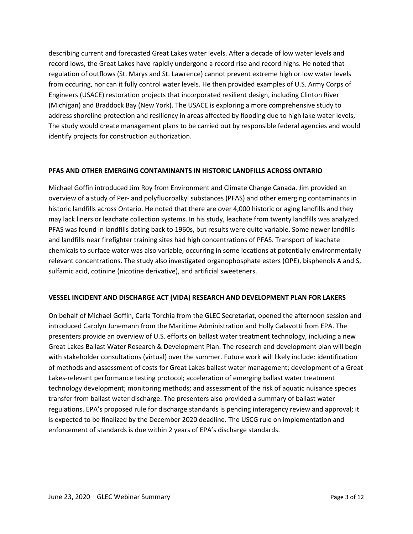describing current and forecasted Great Lakes water levels. After a decade of low water levels and record lows, the Great Lakes have rapidly undergone a record rise and record highs. He noted that regulation of outflows (St. Marys and St. Lawrence) cannot prevent extreme high or low water levels from occuring, nor can it fully control water levels. He then provided examples of U.S. Army Corps of Engineers (USACE) restoration projects that incorporated resilient design, including Clinton River (Michigan) and Braddock Bay (New York). The USACE is exploring a more comprehensive study to address shoreline protection and resiliency in areas affected by flooding due to high lake water levels, The study would create management plans to be carried out by responsible federal agencies and would identify projects for construction authorization.

## **PFAS AND OTHER EMERGING CONTAMINANTS IN HISTORIC LANDFILLS ACROSS ONTARIO**

Michael Goffin introduced Jim Roy from Environment and Climate Change Canada. Jim provided an overview of a study of Per- and polyfluoroalkyl substances (PFAS) and other emerging contaminants in historic landfills across Ontario. He noted that there are over 4,000 historic or aging landfills and they may lack liners or leachate collection systems. In his study, leachate from twenty landfills was analyzed. PFAS was found in landfills dating back to 1960s, but results were quite variable. Some newer landfills and landfills near firefighter training sites had high concentrations of PFAS. Transport of leachate chemicals to surface water was also variable, occurring in some locations at potentially environmentally relevant concentrations. The study also investigated organophosphate esters (OPE), bisphenols A and S, sulfamic acid, cotinine (nicotine derivative), and artificial sweeteners.

## **VESSEL INCIDENT AND DISCHARGE ACT (VIDA) RESEARCH AND DEVELOPMENT PLAN FOR LAKERS**

On behalf of Michael Goffin, Carla Torchia from the GLEC Secretariat, opened the afternoon session and introduced Carolyn Junemann from the Maritime Administration and Holly Galavotti from EPA. The presenters provide an overview of U.S. efforts on ballast water treatment technology, including a new Great Lakes Ballast Water Research & Development Plan. The research and development plan will begin with stakeholder consultations (virtual) over the summer. Future work will likely include: identification of methods and assessment of costs for Great Lakes ballast water management; development of a Great Lakes-relevant performance testing protocol; acceleration of emerging ballast water treatment technology development; monitoring methods; and assessment of the risk of aquatic nuisance species transfer from ballast water discharge. The presenters also provided a summary of ballast water regulations. EPA's proposed rule for discharge standards is pending interagency review and approval; it is expected to be finalized by the December 2020 deadline. The USCG rule on implementation and enforcement of standards is due within 2 years of EPA's discharge standards.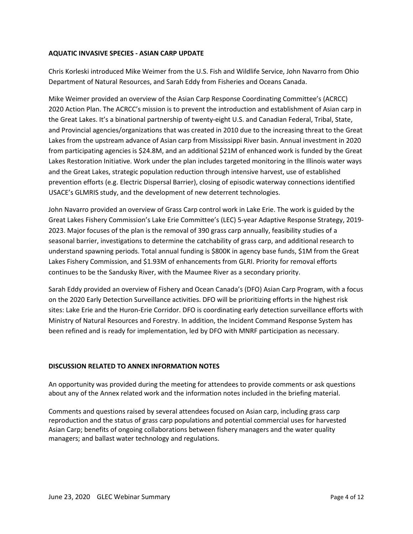## **AQUATIC INVASIVE SPECIES - ASIAN CARP UPDATE**

Chris Korleski introduced Mike Weimer from the U.S. Fish and Wildlife Service, John Navarro from Ohio Department of Natural Resources, and Sarah Eddy from Fisheries and Oceans Canada.

Mike Weimer provided an overview of the Asian Carp Response Coordinating Committee's (ACRCC) 2020 Action Plan. The ACRCC's mission is to prevent the introduction and establishment of Asian carp in the Great Lakes. It's a binational partnership of twenty-eight U.S. and Canadian Federal, Tribal, State, and Provincial agencies/organizations that was created in 2010 due to the increasing threat to the Great Lakes from the upstream advance of Asian carp from Mississippi River basin. Annual investment in 2020 from participating agencies is \$24.8M, and an additional \$21M of enhanced work is funded by the Great Lakes Restoration Initiative. Work under the plan includes targeted monitoring in the Illinois water ways and the Great Lakes, strategic population reduction through intensive harvest, use of established prevention efforts (e.g. Electric Dispersal Barrier), closing of episodic waterway connections identified USACE's GLMRIS study, and the development of new deterrent technologies.

John Navarro provided an overview of Grass Carp control work in Lake Erie. The work is guided by the Great Lakes Fishery Commission's Lake Erie Committee's (LEC) 5-year Adaptive Response Strategy, 2019- 2023. Major focuses of the plan is the removal of 390 grass carp annually, feasibility studies of a seasonal barrier, investigations to determine the catchability of grass carp, and additional research to understand spawning periods. Total annual funding is \$800K in agency base funds, \$1M from the Great Lakes Fishery Commission, and \$1.93M of enhancements from GLRI. Priority for removal efforts continues to be the Sandusky River, with the Maumee River as a secondary priority.

Sarah Eddy provided an overview of Fishery and Ocean Canada's (DFO) Asian Carp Program, with a focus on the 2020 Early Detection Surveillance activities. DFO will be prioritizing efforts in the highest risk sites: Lake Erie and the Huron-Erie Corridor. DFO is coordinating early detection surveillance efforts with Ministry of Natural Resources and Forestry. In addition, the Incident Command Response System has been refined and is ready for implementation, led by DFO with MNRF participation as necessary.

## **DISCUSSION RELATED TO ANNEX INFORMATION NOTES**

An opportunity was provided during the meeting for attendees to provide comments or ask questions about any of the Annex related work and the information notes included in the briefing material.

Comments and questions raised by several attendees focused on Asian carp, including grass carp reproduction and the status of grass carp populations and potential commercial uses for harvested Asian Carp; benefits of ongoing collaborations between fishery managers and the water quality managers; and ballast water technology and regulations.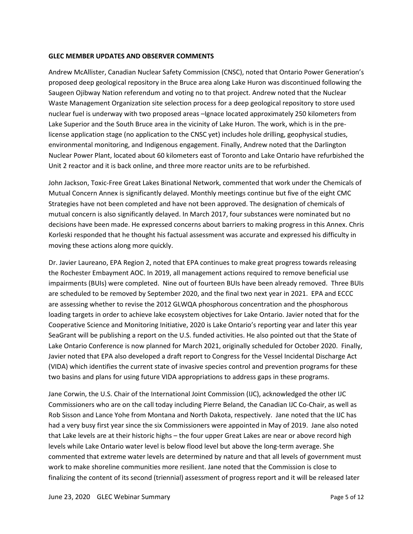#### **GLEC MEMBER UPDATES AND OBSERVER COMMENTS**

Andrew McAllister, Canadian Nuclear Safety Commission (CNSC), noted that Ontario Power Generation's proposed deep geological repository in the Bruce area along Lake Huron was discontinued following the Saugeen Ojibway Nation referendum and voting no to that project. Andrew noted that the Nuclear Waste Management Organization site selection process for a deep geological repository to store used nuclear fuel is underway with two proposed areas –Ignace located approximately 250 kilometers from Lake Superior and the South Bruce area in the vicinity of Lake Huron. The work, which is in the prelicense application stage (no application to the CNSC yet) includes hole drilling, geophysical studies, environmental monitoring, and Indigenous engagement. Finally, Andrew noted that the Darlington Nuclear Power Plant, located about 60 kilometers east of Toronto and Lake Ontario have refurbished the Unit 2 reactor and it is back online, and three more reactor units are to be refurbished.

John Jackson, Toxic-Free Great Lakes Binational Network, commented that work under the Chemicals of Mutual Concern Annex is significantly delayed. Monthly meetings continue but five of the eight CMC Strategies have not been completed and have not been approved. The designation of chemicals of mutual concern is also significantly delayed. In March 2017, four substances were nominated but no decisions have been made. He expressed concerns about barriers to making progress in this Annex. Chris Korleski responded that he thought his factual assessment was accurate and expressed his difficulty in moving these actions along more quickly.

Dr. Javier Laureano, EPA Region 2, noted that EPA continues to make great progress towards releasing the Rochester Embayment AOC. In 2019, all management actions required to remove beneficial use impairments (BUIs) were completed. Nine out of fourteen BUIs have been already removed. Three BUIs are scheduled to be removed by September 2020, and the final two next year in 2021. EPA and ECCC are assessing whether to revise the 2012 GLWQA phosphorous concentration and the phosphorous loading targets in order to achieve lake ecosystem objectives for Lake Ontario. Javier noted that for the Cooperative Science and Monitoring Initiative, 2020 is Lake Ontario's reporting year and later this year SeaGrant will be publishing a report on the U.S. funded activities. He also pointed out that the State of Lake Ontario Conference is now planned for March 2021, originally scheduled for October 2020. Finally, Javier noted that EPA also developed a draft report to Congress for the Vessel Incidental Discharge Act (VIDA) which identifies the current state of invasive species control and prevention programs for these two basins and plans for using future VIDA appropriations to address gaps in these programs.

Jane Corwin, the U.S. Chair of the International Joint Commission (IJC), acknowledged the other IJC Commissioners who are on the call today including Pierre Beland, the Canadian IJC Co-Chair, as well as Rob Sisson and Lance Yohe from Montana and North Dakota, respectively. Jane noted that the IJC has had a very busy first year since the six Commissioners were appointed in May of 2019. Jane also noted that Lake levels are at their historic highs – the four upper Great Lakes are near or above record high levels while Lake Ontario water level is below flood level but above the long-term average. She commented that extreme water levels are determined by nature and that all levels of government must work to make shoreline communities more resilient. Jane noted that the Commission is close to finalizing the content of its second (triennial) assessment of progress report and it will be released later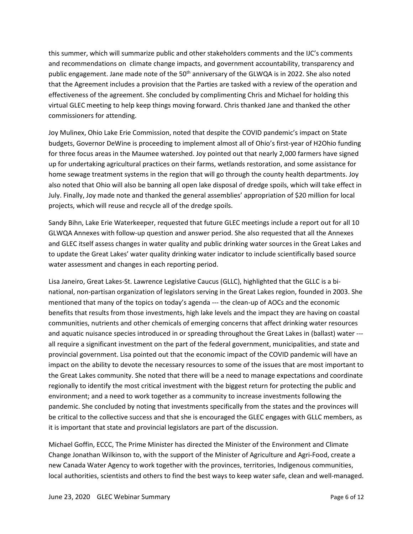this summer, which will summarize public and other stakeholders comments and the IJC's comments and recommendations on climate change impacts, and government accountability, transparency and public engagement. Jane made note of the 50<sup>th</sup> anniversary of the GLWQA is in 2022. She also noted that the Agreement includes a provision that the Parties are tasked with a review of the operation and effectiveness of the agreement. She concluded by complimenting Chris and Michael for holding this virtual GLEC meeting to help keep things moving forward. Chris thanked Jane and thanked the other commissioners for attending.

Joy Mulinex, Ohio Lake Erie Commission, noted that despite the COVID pandemic's impact on State budgets, Governor DeWine is proceeding to implement almost all of Ohio's first-year of H2Ohio funding for three focus areas in the Maumee watershed. Joy pointed out that nearly 2,000 farmers have signed up for undertaking agricultural practices on their farms, wetlands restoration, and some assistance for home sewage treatment systems in the region that will go through the county health departments. Joy also noted that Ohio will also be banning all open lake disposal of dredge spoils, which will take effect in July. Finally, Joy made note and thanked the general assemblies' appropriation of \$20 million for local projects, which will reuse and recycle all of the dredge spoils.

Sandy Bihn, Lake Erie Waterkeeper, requested that future GLEC meetings include a report out for all 10 GLWQA Annexes with follow-up question and answer period. She also requested that all the Annexes and GLEC itself assess changes in water quality and public drinking water sources in the Great Lakes and to update the Great Lakes' water quality drinking water indicator to include scientifically based source water assessment and changes in each reporting period.

Lisa Janeiro, Great Lakes-St. Lawrence Legislative Caucus (GLLC), highlighted that the GLLC is a binational, non-partisan organization of legislators serving in the Great Lakes region, founded in 2003. She mentioned that many of the topics on today's agenda --- the clean-up of AOCs and the economic benefits that results from those investments, high lake levels and the impact they are having on coastal communities, nutrients and other chemicals of emerging concerns that affect drinking water resources and aquatic nuisance species introduced in or spreading throughout the Great Lakes in (ballast) water -- all require a significant investment on the part of the federal government, municipalities, and state and provincial government. Lisa pointed out that the economic impact of the COVID pandemic will have an impact on the ability to devote the necessary resources to some of the issues that are most important to the Great Lakes community. She noted that there will be a need to manage expectations and coordinate regionally to identify the most critical investment with the biggest return for protecting the public and environment; and a need to work together as a community to increase investments following the pandemic. She concluded by noting that investments specifically from the states and the provinces will be critical to the collective success and that she is encouraged the GLEC engages with GLLC members, as it is important that state and provincial legislators are part of the discussion.

Michael Goffin, ECCC, The Prime Minister has directed the Minister of the Environment and Climate Change Jonathan Wilkinson to, with the support of the Minister of Agriculture and Agri-Food, create a new Canada Water Agency to work together with the provinces, territories, Indigenous communities, local authorities, scientists and others to find the best ways to keep water safe, clean and well-managed.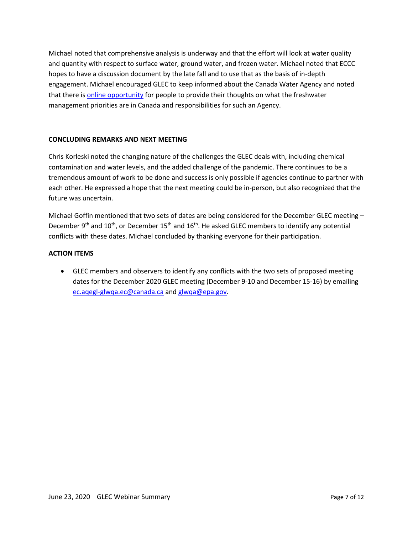Michael noted that comprehensive analysis is underway and that the effort will look at water quality and quantity with respect to surface water, ground water, and frozen water. Michael noted that ECCC hopes to have a discussion document by the late fall and to use that as the basis of in-depth engagement. Michael encouraged GLEC to keep informed about the Canada Water Agency and noted that there is online [opportunity](https://www.placespeak.com/en/topic/6321-protecting-canadas-fresh-water/#/overview) for people to provide their thoughts on what the freshwater management priorities are in Canada and responsibilities for such an Agency.

## **CONCLUDING REMARKS AND NEXT MEETING**

Chris Korleski noted the changing nature of the challenges the GLEC deals with, including chemical contamination and water levels, and the added challenge of the pandemic. There continues to be a tremendous amount of work to be done and success is only possible if agencies continue to partner with each other. He expressed a hope that the next meeting could be in-person, but also recognized that the future was uncertain.

Michael Goffin mentioned that two sets of dates are being considered for the December GLEC meeting – December 9<sup>th</sup> and 10<sup>th</sup>, or December 15<sup>th</sup> and 16<sup>th</sup>. He asked GLEC members to identify any potential conflicts with these dates. Michael concluded by thanking everyone for their participation.

## **ACTION ITEMS**

• GLEC members and observers to identify any conflicts with the two sets of proposed meeting dates for the December 2020 GLEC meeting (December 9-10 and December 15-16) by emailing [ec.aqegl-glwqa.ec@canada.ca](mailto:ec.aqegl-glwqa.ec@canada.ca) and [glwqa@epa.gov.](mailto:glwqa@epa.gov)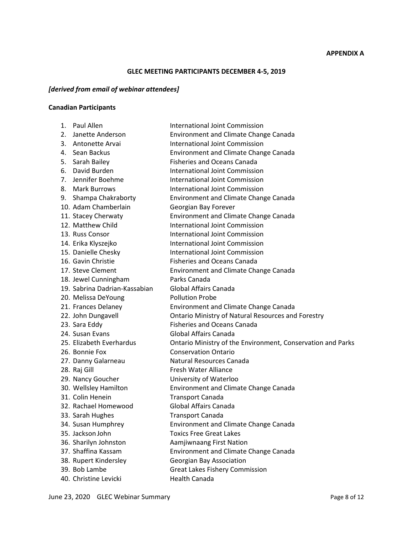## **APPENDIX A**

## **GLEC MEETING PARTICIPANTS DECEMBER 4-5, 2019**

# *[derived from email of webinar attendees]*

# **Canadian Participants**

|    | 1. Paul Allen                 | <b>International Joint Commission</b>                       |
|----|-------------------------------|-------------------------------------------------------------|
| 2. | Janette Anderson              | <b>Environment and Climate Change Canada</b>                |
|    | 3. Antonette Arvai            | International Joint Commission                              |
|    | 4. Sean Backus                | <b>Environment and Climate Change Canada</b>                |
|    | 5. Sarah Bailey               | <b>Fisheries and Oceans Canada</b>                          |
| 6. | David Burden                  | <b>International Joint Commission</b>                       |
|    | 7. Jennifer Boehme            | <b>International Joint Commission</b>                       |
|    | 8. Mark Burrows               | International Joint Commission                              |
|    | 9. Shampa Chakraborty         | <b>Environment and Climate Change Canada</b>                |
|    | 10. Adam Chamberlain          | Georgian Bay Forever                                        |
|    | 11. Stacey Cherwaty           | Environment and Climate Change Canada                       |
|    | 12. Matthew Child             | International Joint Commission                              |
|    | 13. Russ Consor               | International Joint Commission                              |
|    | 14. Erika Klyszejko           | <b>International Joint Commission</b>                       |
|    | 15. Danielle Chesky           | International Joint Commission                              |
|    | 16. Gavin Christie            | <b>Fisheries and Oceans Canada</b>                          |
|    | 17. Steve Clement             | <b>Environment and Climate Change Canada</b>                |
|    | 18. Jewel Cunningham          | Parks Canada                                                |
|    | 19. Sabrina Dadrian-Kassabian | <b>Global Affairs Canada</b>                                |
|    | 20. Melissa DeYoung           | <b>Pollution Probe</b>                                      |
|    | 21. Frances Delaney           | Environment and Climate Change Canada                       |
|    | 22. John Dungavell            | <b>Ontario Ministry of Natural Resources and Forestry</b>   |
|    | 23. Sara Eddy                 | <b>Fisheries and Oceans Canada</b>                          |
|    | 24. Susan Evans               | Global Affairs Canada                                       |
|    | 25. Elizabeth Everhardus      | Ontario Ministry of the Environment, Conservation and Parks |
|    | 26. Bonnie Fox                | <b>Conservation Ontario</b>                                 |
|    | 27. Danny Galarneau           | Natural Resources Canada                                    |
|    | 28. Raj Gill                  | Fresh Water Alliance                                        |
|    | 29. Nancy Goucher             | University of Waterloo                                      |
|    | 30. Wellsley Hamilton         | Environment and Climate Change Canada                       |
|    | 31. Colin Henein              | <b>Transport Canada</b>                                     |
|    | 32. Rachael Homewood          | <b>Global Affairs Canada</b>                                |
|    | 33. Sarah Hughes              | <b>Transport Canada</b>                                     |
|    | 34. Susan Humphrey            | Environment and Climate Change Canada                       |
|    | 35. Jackson John              | <b>Toxics Free Great Lakes</b>                              |
|    | 36. Sharilyn Johnston         | Aamjiwnaang First Nation                                    |
|    | 37. Shaffina Kassam           | Environment and Climate Change Canada                       |
|    | 38. Rupert Kindersley         | Georgian Bay Association                                    |
|    | 39. Bob Lambe                 | <b>Great Lakes Fishery Commission</b>                       |
|    | 40. Christine Levicki         | <b>Health Canada</b>                                        |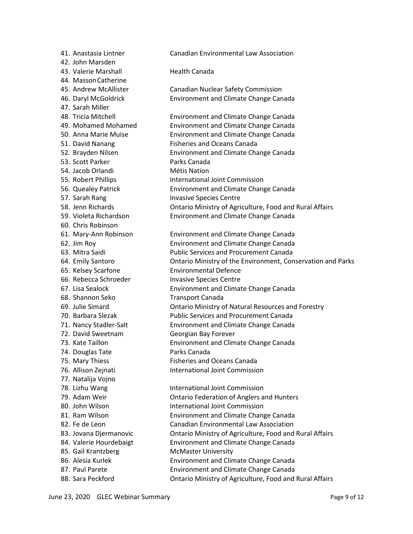41. Anastasia Lintner Canadian Environmental Law Association 42. John Marsden 43. Valerie Marshall **Health Canada** 44. MassonCatherine 45. Andrew McAllister Canadian Nuclear Safety Commission 46. Daryl McGoldrick Environment and Climate Change Canada 47. Sarah Miller 48. Tricia Mitchell Environment and Climate Change Canada 49. Mohamed Mohamed Environment and Climate Change Canada 50. Anna Marie Muise Environment and Climate Change Canada 51. David Nanang Fisheries and Oceans Canada 52. Brayden Nilsen Environment and Climate Change Canada 53. Scott Parker Parks Canada 54. Jacob Orlandi Métis Nation 55. Robert Phillips **International Joint Commission** 56. Quealey Patrick Environment and Climate Change Canada 57. Sarah Rang Invasive Species Centre 58. Jenn Richards Ontario Ministry of Agriculture, Food and Rural Affairs 59. Violeta Richardson Environment and Climate Change Canada 60. Chris Robinson 61. Mary-Ann Robinson Environment and Climate Change Canada 62. Jim Roy Environment and Climate Change Canada 63. Mitra Saidi Public Services and Procurement Canada 64. Emily Santoro Ontario Ministry of the Environment, Conservation and Parks 65. Kelsey Scarfone Environmental Defence 66. Rebecca Schroeder Invasive Species Centre 67. Lisa Sealock Environment and Climate Change Canada 68. Shannon Seko Transport Canada 69. Julie Simard Ontario Ministry of Natural Resources and Forestry 70. Barbara Slezak Public Services and Procurement Canada 71. Nancy Stadler-Salt Environment and Climate Change Canada 72. David Sweetnam Georgian Bay Forever 73. Kate Taillon Environment and Climate Change Canada 74. Douglas Tate **Parks Canada** 75. Mary Thiess **Fisheries and Oceans Canada** 76. Allison Zejnati **International Joint Commission** 77. Natalija Vojno 78. Lizhu Wang **International Joint Commission** 79. Adam Weir **Christian Contario Federation of Anglers and Hunters** 80. John Wilson **International Joint Commission** 81. Ram Wilson Environment and Climate Change Canada 82. Fe de Leon Canadian Environmental Law Association 83. Jovana Djermanovic Ontario Ministry of Agriculture, Food and Rural Affairs 84. Valerie Hourdebaigt Environment and Climate Change Canada 85. Gail Krantzberg McMaster University 86. Alesia Kurlek Environment and Climate Change Canada 87. Paul Parete **Environment and Climate Change Canada** 88. Sara Peckford **Carry Contario Ministry of Agriculture, Food and Rural Affairs**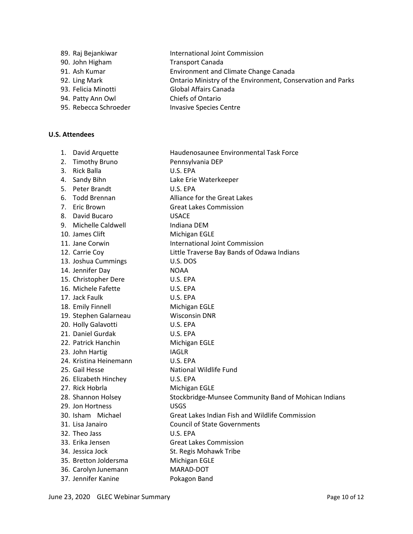|                    | International Joint Commission |
|--------------------|--------------------------------|
| 89. Raj Bejankiwar |                                |

- 90. John Higham Transport Canada
- 91. Ash Kumar Environment and Climate Change Canada
- 92. Ling Mark **Canada Accord Contario Ministry of the Environment, Conservation and Parks**
- 93. Felicia Minotti Global Affairs Canada
- 94. Patty Ann Owl Chiefs of Ontario
- 95. Rebecca Schroeder Invasive Species Centre

# **U.S. Attendees**

1. David Arquette Haudenosaunee Environmental Task Force 2. Timothy Bruno Pennsylvania DEP 3. Rick Balla U.S. EPA 4. Sandy Bihn Lake Erie Waterkeeper 5. Peter Brandt U.S. EPA 6. Todd Brennan Alliance for the Great Lakes 7. Eric Brown Great Lakes Commission 8. David Bucaro **Canadia Expansion COSACE** 9. Michelle Caldwell **Indiana DEM** 10. James Clift Michigan EGLE 11. Jane Corwin International Joint Commission 12. Carrie Coy Little Traverse Bay Bands of Odawa Indians 13. Joshua Cummings U.S. DOS 14. Jennifer Day NOAA 15. Christopher Dere U.S. EPA 16. Michele Fafette U.S. EPA 17. Jack Faulk U.S. EPA 18. Emily Finnell Michigan EGLE 19. Stephen Galarneau Wisconsin DNR 20. Holly Galavotti U.S. EPA 21. Daniel Gurdak U.S. EPA 22. Patrick Hanchin Michigan EGLE 23. John Hartig IAGLR 24. Kristina Heinemann U.S. EPA 25. Gail Hesse National Wildlife Fund 26. Elizabeth Hinchey U.S. EPA 27. Rick Hobrla Michigan EGLE 28. Shannon Holsey **Stockbridge-Munsee Community Band of Mohican Indians** 29. Jon Hortness USGS 30. Isham Michael Great Lakes Indian Fish and Wildlife Commission 31. Lisa Janairo Council of State Governments 32. Theo Jass U.S. EPA 33. Erika Jensen Great Lakes Commission 34. Jessica Jock St. Regis Mohawk Tribe 35. Bretton Joldersma Michigan EGLE 36. Carolyn Junemann MARAD-DOT 37. Jennifer Kanine **Pokagon Band**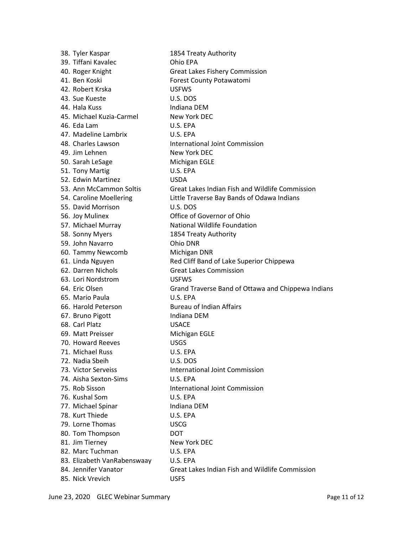| 38. Tyler Kaspar            | 1854 Treaty Authority                              |
|-----------------------------|----------------------------------------------------|
| 39. Tiffani Kavalec         | Ohio EPA                                           |
| 40. Roger Knight            | <b>Great Lakes Fishery Commission</b>              |
| 41. Ben Koski               | Forest County Potawatomi                           |
| 42. Robert Krska            | <b>USFWS</b>                                       |
| 43. Sue Kueste              | U.S. DOS                                           |
| 44. Hala Kuss               | Indiana DEM                                        |
| 45. Michael Kuzia-Carmel    | New York DEC                                       |
| 46. Eda Lam                 | U.S. EPA                                           |
| 47. Madeline Lambrix        | U.S. EPA                                           |
| 48. Charles Lawson          | International Joint Commission                     |
| 49. Jim Lehnen              | New York DEC                                       |
| 50. Sarah LeSage            | <b>Michigan EGLE</b>                               |
| 51. Tony Martig             | U.S. EPA                                           |
| 52. Edwin Martinez          | <b>USDA</b>                                        |
| 53. Ann McCammon Soltis     | Great Lakes Indian Fish and Wildlife Commission    |
| 54. Caroline Moellering     | Little Traverse Bay Bands of Odawa Indians         |
| 55. David Morrison          | U.S. DOS                                           |
| 56. Joy Mulinex             | Office of Governor of Ohio                         |
| 57. Michael Murray          | National Wildlife Foundation                       |
| 58. Sonny Myers             | 1854 Treaty Authority                              |
| 59. John Navarro            | Ohio DNR                                           |
| 60. Tammy Newcomb           | Michigan DNR                                       |
| 61. Linda Nguyen            | Red Cliff Band of Lake Superior Chippewa           |
| 62. Darren Nichols          | <b>Great Lakes Commission</b>                      |
| 63. Lori Nordstrom          | <b>USFWS</b>                                       |
| 64. Eric Olsen              | Grand Traverse Band of Ottawa and Chippewa Indians |
| 65. Mario Paula             | U.S. EPA                                           |
| 66. Harold Peterson         | <b>Bureau of Indian Affairs</b>                    |
| 67. Bruno Pigott            | Indiana DEM                                        |
| 68. Carl Platz              | <b>USACE</b>                                       |
| 69. Matt Preisser           | Michigan EGLE                                      |
| 70. Howard Reeves           | <b>USGS</b>                                        |
| 71. Michael Russ            | U.S. EPA                                           |
| 72. Nadia Sbeih             | U.S. DOS                                           |
| 73. Victor Serveiss         | <b>International Joint Commission</b>              |
| 74. Aisha Sexton-Sims       | U.S. EPA                                           |
| 75. Rob Sisson              | <b>International Joint Commission</b>              |
| 76. Kushal Som              | U.S. EPA                                           |
| 77. Michael Spinar          | Indiana DEM                                        |
| 78. Kurt Thiede             | U.S. EPA                                           |
| 79. Lorne Thomas            | <b>USCG</b>                                        |
| 80. Tom Thompson            | <b>DOT</b>                                         |
| 81. Jim Tierney             | New York DEC                                       |
| 82. Marc Tuchman            | U.S. EPA                                           |
| 83. Elizabeth VanRabenswaay | U.S. EPA                                           |
| 84. Jennifer Vanator        | Great Lakes Indian Fish and Wildlife Commission    |
| 85. Nick Vrevich            | <b>USFS</b>                                        |